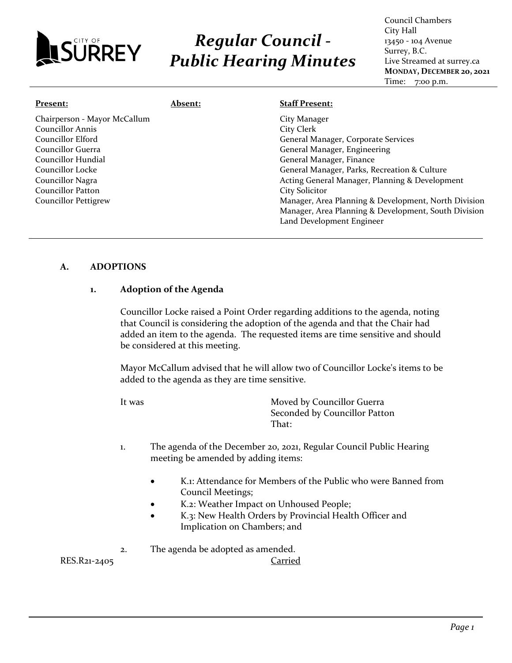

# *Regular Council - Public Hearing Minutes*

| Present:                                                                                                                                                                                                     | <b>Absent:</b> | <b>Staff Present:</b>                                                                                                                                                                                                                                                                                            |
|--------------------------------------------------------------------------------------------------------------------------------------------------------------------------------------------------------------|----------------|------------------------------------------------------------------------------------------------------------------------------------------------------------------------------------------------------------------------------------------------------------------------------------------------------------------|
| Chairperson - Mayor McCallum<br><b>Councillor Annis</b><br>Councillor Elford<br>Councillor Guerra<br>Councillor Hundial<br>Councillor Locke<br>Councillor Nagra<br>Councillor Patton<br>Councillor Pettigrew |                | City Manager<br>City Clerk<br>General Manager, Corporate Services<br>General Manager, Engineering<br>General Manager, Finance<br>General Manager, Parks, Recreation & Culture<br>Acting General Manager, Planning & Development<br><b>City Solicitor</b><br>Manager, Area Planning & Development, North Division |
|                                                                                                                                                                                                              |                | Manager, Area Planning & Development, South Division<br>Land Development Engineer                                                                                                                                                                                                                                |

# **A. ADOPTIONS**

#### **1. Adoption of the Agenda**

Councillor Locke raised a Point Order regarding additions to the agenda, noting that Council is considering the adoption of the agenda and that the Chair had added an item to the agenda. The requested items are time sensitive and should be considered at this meeting.

Mayor McCallum advised that he will allow two of Councillor Locke's items to be added to the agenda as they are time sensitive.

It was **Moved by Councillor Guerra** Seconded by Councillor Patton That:

- 1. The agenda of the December 20, 2021, Regular Council Public Hearing meeting be amended by adding items:
	- K.1: Attendance for Members of the Public who were Banned from Council Meetings;
	- K.2: Weather Impact on Unhoused People;
	- K.3: New Health Orders by Provincial Health Officer and Implication on Chambers; and

2. The agenda be adopted as amended.

RES.R21-2405 Carried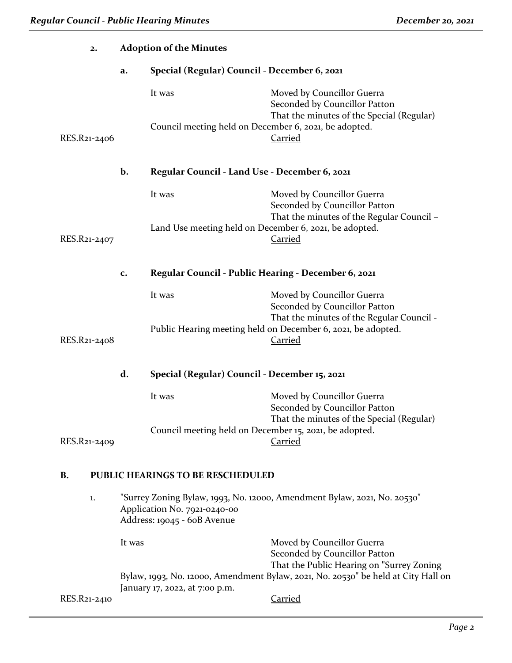| 2.                                             |        | <b>Adoption of the Minutes</b>                              |                                                                                                                                |  |
|------------------------------------------------|--------|-------------------------------------------------------------|--------------------------------------------------------------------------------------------------------------------------------|--|
|                                                | a.     | Special (Regular) Council - December 6, 2021                |                                                                                                                                |  |
|                                                |        | It was                                                      | Moved by Councillor Guerra<br>Seconded by Councillor Patton<br>That the minutes of the Special (Regular)                       |  |
| RES.R21-2406                                   |        | Council meeting held on December 6, 2021, be adopted.       | <b>Carried</b>                                                                                                                 |  |
|                                                | b.     | Regular Council - Land Use - December 6, 2021               |                                                                                                                                |  |
|                                                |        | It was                                                      | Moved by Councillor Guerra<br>Seconded by Councillor Patton<br>That the minutes of the Regular Council -                       |  |
| RES.R21-2407                                   |        | Land Use meeting held on December 6, 2021, be adopted.      | <b>Carried</b>                                                                                                                 |  |
|                                                | c.     | Regular Council - Public Hearing - December 6, 2021         |                                                                                                                                |  |
|                                                |        | It was                                                      | Moved by Councillor Guerra<br>Seconded by Councillor Patton<br>That the minutes of the Regular Council -                       |  |
| RES.R21-2408                                   |        |                                                             | Public Hearing meeting held on December 6, 2021, be adopted.<br><b>Carried</b>                                                 |  |
|                                                | d.     | Special (Regular) Council - December 15, 2021               |                                                                                                                                |  |
|                                                |        | It was                                                      | Moved by Councillor Guerra<br>Seconded by Councillor Patton<br>That the minutes of the Special (Regular)                       |  |
| RES.R21-2409                                   |        | Council meeting held on December 15, 2021, be adopted.      | Carried                                                                                                                        |  |
| PUBLIC HEARINGS TO BE RESCHEDULED<br><b>B.</b> |        |                                                             |                                                                                                                                |  |
| 1.                                             |        | Application No. 7921-0240-00<br>Address: 19045 - 60B Avenue | "Surrey Zoning Bylaw, 1993, No. 12000, Amendment Bylaw, 2021, No. 20530"                                                       |  |
|                                                | It was |                                                             | Moved by Councillor Guerra<br>Seconded by Councillor Patton                                                                    |  |
|                                                |        | January 17, 2022, at 7:00 p.m.                              | That the Public Hearing on "Surrey Zoning<br>Bylaw, 1993, No. 12000, Amendment Bylaw, 2021, No. 20530" be held at City Hall on |  |
| RES.R21-2410                                   |        |                                                             | <b>Carried</b>                                                                                                                 |  |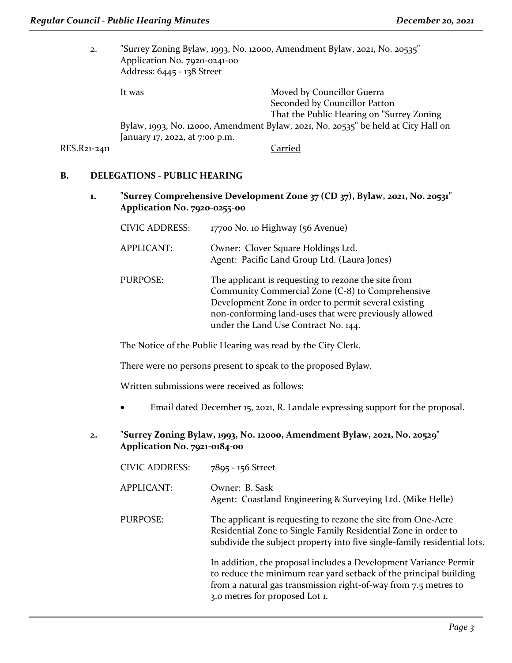| 2.           | "Surrey Zoning Bylaw, 1993, No. 12000, Amendment Bylaw, 2021, No. 20535"<br>Application No. 7920-0241-00<br>Address: 6445 - 138 Street |                                                                                                           |
|--------------|----------------------------------------------------------------------------------------------------------------------------------------|-----------------------------------------------------------------------------------------------------------|
|              | It was                                                                                                                                 | Moved by Councillor Guerra<br>Seconded by Councillor Patton<br>That the Public Hearing on "Surrey Zoning" |
|              | January 17, 2022, at 7:00 p.m.                                                                                                         | Bylaw, 1993, No. 12000, Amendment Bylaw, 2021, No. 20535" be held at City Hall on                         |
| RES.R21-2411 |                                                                                                                                        | Carried                                                                                                   |

## **B. DELEGATIONS - PUBLIC HEARING**

**1. "Surrey Comprehensive Development Zone 37 (CD 37), Bylaw, 2021, No. 20531" Application No. 7920-0255-00**

| <b>CIVIC ADDRESS:</b> | 17700 No. 10 Highway (56 Avenue)                                                                                                                                                                                                                                 |
|-----------------------|------------------------------------------------------------------------------------------------------------------------------------------------------------------------------------------------------------------------------------------------------------------|
| <b>APPLICANT:</b>     | Owner: Clover Square Holdings Ltd.<br>Agent: Pacific Land Group Ltd. (Laura Jones)                                                                                                                                                                               |
| <b>PURPOSE:</b>       | The applicant is requesting to rezone the site from<br>Community Commercial Zone (C-8) to Comprehensive<br>Development Zone in order to permit several existing<br>non-conforming land-uses that were previously allowed<br>under the Land Use Contract No. 144. |

The Notice of the Public Hearing was read by the City Clerk.

There were no persons present to speak to the proposed Bylaw.

Written submissions were received as follows:

- Email dated December 15, 2021, R. Landale expressing support for the proposal.
- **2. "Surrey Zoning Bylaw, 1993, No. 12000, Amendment Bylaw, 2021, No. 20529" Application No. 7921-0184-00**

| <b>CIVIC ADDRESS:</b> | 7895 - 156 Street                                                                                                                                                                                                                          |
|-----------------------|--------------------------------------------------------------------------------------------------------------------------------------------------------------------------------------------------------------------------------------------|
| APPLICANT:            | Owner: B. Sask<br>Agent: Coastland Engineering & Surveying Ltd. (Mike Helle)                                                                                                                                                               |
| PURPOSE:              | The applicant is requesting to rezone the site from One-Acre<br>Residential Zone to Single Family Residential Zone in order to<br>subdivide the subject property into five single-family residential lots.                                 |
|                       | In addition, the proposal includes a Development Variance Permit<br>to reduce the minimum rear yard setback of the principal building<br>from a natural gas transmission right-of-way from 7.5 metres to<br>3.0 metres for proposed Lot 1. |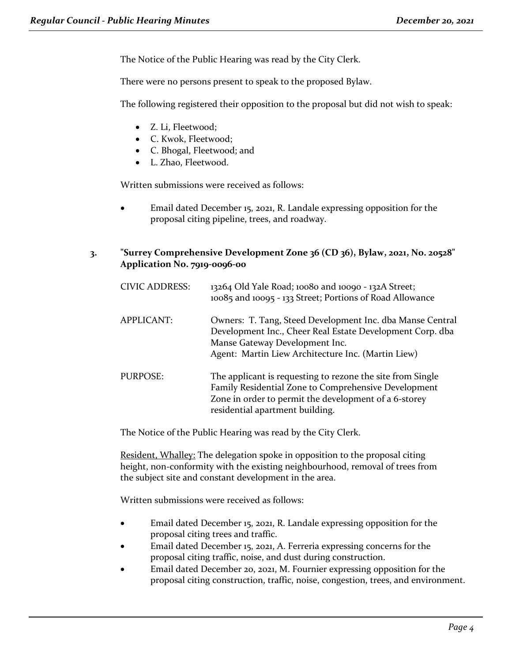The Notice of the Public Hearing was read by the City Clerk.

There were no persons present to speak to the proposed Bylaw.

The following registered their opposition to the proposal but did not wish to speak:

- Z. Li, Fleetwood;
- C. Kwok, Fleetwood;
- C. Bhogal, Fleetwood; and
- L. Zhao, Fleetwood.

Written submissions were received as follows:

• Email dated December 15, 2021, R. Landale expressing opposition for the proposal citing pipeline, trees, and roadway.

# **3. "Surrey Comprehensive Development Zone 36 (CD 36), Bylaw, 2021, No. 20528" Application No. 7919-0096-00**

| <b>CIVIC ADDRESS:</b> | 13264 Old Yale Road; 10080 and 10090 - 132A Street;<br>10085 and 10095 - 133 Street; Portions of Road Allowance                                                                                                |
|-----------------------|----------------------------------------------------------------------------------------------------------------------------------------------------------------------------------------------------------------|
| <b>APPLICANT:</b>     | Owners: T. Tang, Steed Development Inc. dba Manse Central<br>Development Inc., Cheer Real Estate Development Corp. dba<br>Manse Gateway Development Inc.<br>Agent: Martin Liew Architecture Inc. (Martin Liew) |
| <b>PURPOSE:</b>       | The applicant is requesting to rezone the site from Single<br>Family Residential Zone to Comprehensive Development<br>Zone in order to permit the development of a 6-storey<br>residential apartment building. |

The Notice of the Public Hearing was read by the City Clerk.

Resident, Whalley: The delegation spoke in opposition to the proposal citing height, non-conformity with the existing neighbourhood, removal of trees from the subject site and constant development in the area.

Written submissions were received as follows:

- Email dated December 15, 2021, R. Landale expressing opposition for the proposal citing trees and traffic.
- Email dated December 15, 2021, A. Ferreria expressing concerns for the proposal citing traffic, noise, and dust during construction.
- Email dated December 20, 2021, M. Fournier expressing opposition for the proposal citing construction, traffic, noise, congestion, trees, and environment.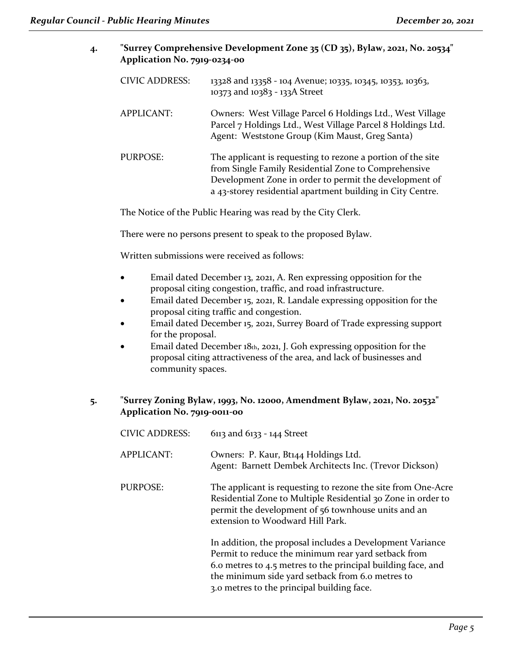| "Surrey Comprehensive Development Zone 35 (CD 35), Bylaw, 2021, No. 20534" |
|----------------------------------------------------------------------------|
| Application No. 7919-0234-00                                               |

| <b>CIVIC ADDRESS:</b> | 13328 and 13358 - 104 Avenue; 10335, 10345, 10353, 10363,<br>10373 and 10383 - 133A Street                                                                                                                                                  |
|-----------------------|---------------------------------------------------------------------------------------------------------------------------------------------------------------------------------------------------------------------------------------------|
| <b>APPLICANT:</b>     | Owners: West Village Parcel 6 Holdings Ltd., West Village<br>Parcel 7 Holdings Ltd., West Village Parcel 8 Holdings Ltd.<br>Agent: Weststone Group (Kim Maust, Greg Santa)                                                                  |
| PURPOSE:              | The applicant is requesting to rezone a portion of the site<br>from Single Family Residential Zone to Comprehensive<br>Development Zone in order to permit the development of<br>a 43-storey residential apartment building in City Centre. |

The Notice of the Public Hearing was read by the City Clerk.

There were no persons present to speak to the proposed Bylaw.

Written submissions were received as follows:

- Email dated December 13, 2021, A. Ren expressing opposition for the proposal citing congestion, traffic, and road infrastructure.
- Email dated December 15, 2021, R. Landale expressing opposition for the proposal citing traffic and congestion.
- Email dated December 15, 2021, Surrey Board of Trade expressing support for the proposal.
- Email dated December 18th, 2021, J. Goh expressing opposition for the proposal citing attractiveness of the area, and lack of businesses and community spaces.

# **5. "Surrey Zoning Bylaw, 1993, No. 12000, Amendment Bylaw, 2021, No. 20532" Application No. 7919-0011-00**

| <b>CIVIC ADDRESS:</b> | 6113 and 6133 - 144 Street                                                                                                                                                                                                                                                         |
|-----------------------|------------------------------------------------------------------------------------------------------------------------------------------------------------------------------------------------------------------------------------------------------------------------------------|
| <b>APPLICANT:</b>     | Owners: P. Kaur, Bt144 Holdings Ltd.<br>Agent: Barnett Dembek Architects Inc. (Trevor Dickson)                                                                                                                                                                                     |
| <b>PURPOSE:</b>       | The applicant is requesting to rezone the site from One-Acre<br>Residential Zone to Multiple Residential 30 Zone in order to<br>permit the development of 56 townhouse units and an<br>extension to Woodward Hill Park.                                                            |
|                       | In addition, the proposal includes a Development Variance<br>Permit to reduce the minimum rear yard setback from<br>6.0 metres to 4.5 metres to the principal building face, and<br>the minimum side yard setback from 6.0 metres to<br>3.0 metres to the principal building face. |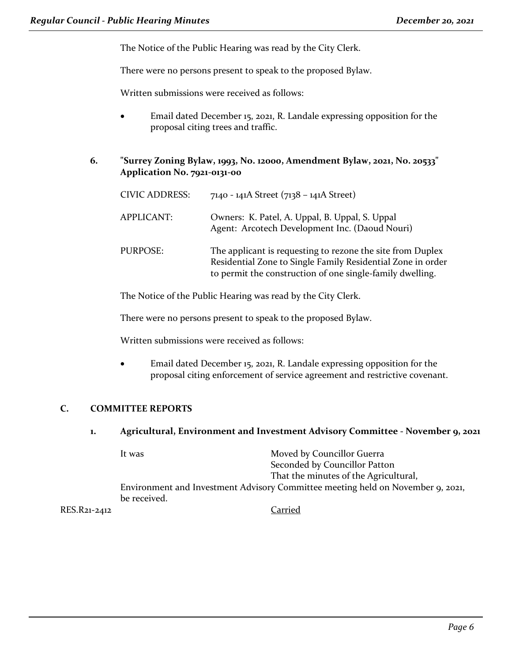The Notice of the Public Hearing was read by the City Clerk.

There were no persons present to speak to the proposed Bylaw.

Written submissions were received as follows:

- Email dated December 15, 2021, R. Landale expressing opposition for the proposal citing trees and traffic.
- **6. "Surrey Zoning Bylaw, 1993, No. 12000, Amendment Bylaw, 2021, No. 20533" Application No. 7921-0131-00**

| <b>CIVIC ADDRESS:</b> | 7140 - 141A Street (7138 – 141A Street)                                                                                                                                                |
|-----------------------|----------------------------------------------------------------------------------------------------------------------------------------------------------------------------------------|
| <b>APPLICANT:</b>     | Owners: K. Patel, A. Uppal, B. Uppal, S. Uppal<br>Agent: Arcotech Development Inc. (Daoud Nouri)                                                                                       |
| PURPOSE:              | The applicant is requesting to rezone the site from Duplex<br>Residential Zone to Single Family Residential Zone in order<br>to permit the construction of one single-family dwelling. |

The Notice of the Public Hearing was read by the City Clerk.

There were no persons present to speak to the proposed Bylaw.

Written submissions were received as follows:

• Email dated December 15, 2021, R. Landale expressing opposition for the proposal citing enforcement of service agreement and restrictive covenant.

# **C. COMMITTEE REPORTS**

#### **1. Agricultural, Environment and Investment Advisory Committee - November 9, 2021**

|              | It was       | Moved by Councillor Guerra                                                      |
|--------------|--------------|---------------------------------------------------------------------------------|
|              |              | Seconded by Councillor Patton                                                   |
|              |              | That the minutes of the Agricultural,                                           |
|              |              | Environment and Investment Advisory Committee meeting held on November 9, 2021, |
|              | be received. |                                                                                 |
| RES.R21-2412 |              | Carried                                                                         |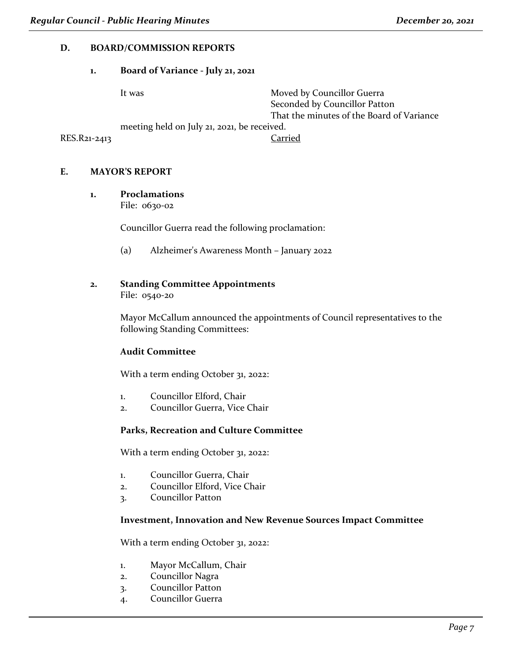# **D. BOARD/COMMISSION REPORTS**

#### **1. Board of Variance - July 21, 2021**

|              | It was                                      | Moved by Councillor Guerra                |
|--------------|---------------------------------------------|-------------------------------------------|
|              |                                             | Seconded by Councillor Patton             |
|              |                                             | That the minutes of the Board of Variance |
|              | meeting held on July 21, 2021, be received. |                                           |
| RES.R21-2413 |                                             | Carried                                   |

#### **E. MAYOR'S REPORT**

#### **1. Proclamations**

File: 0630-02

Councillor Guerra read the following proclamation:

(a) Alzheimer's Awareness Month – January 2022

# **2. Standing Committee Appointments**

File: 0540-20

Mayor McCallum announced the appointments of Council representatives to the following Standing Committees:

# **Audit Committee**

With a term ending October 31, 2022:

- 1. Councillor Elford, Chair
- 2. Councillor Guerra, Vice Chair

# **Parks, Recreation and Culture Committee**

With a term ending October 31, 2022:

- 1. Councillor Guerra, Chair
- 2. Councillor Elford, Vice Chair
- 3. Councillor Patton

# **Investment, Innovation and New Revenue Sources Impact Committee**

With a term ending October 31, 2022:

- 1. Mayor McCallum, Chair
- 2. Councillor Nagra
- 3. Councillor Patton
- 4. Councillor Guerra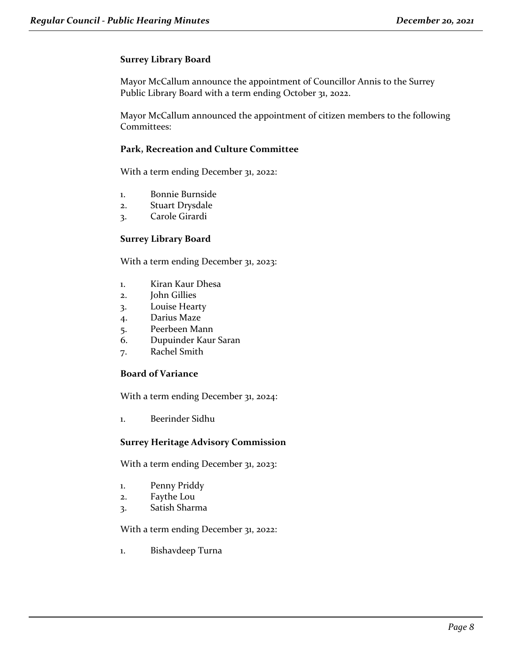# **Surrey Library Board**

Mayor McCallum announce the appointment of Councillor Annis to the Surrey Public Library Board with a term ending October 31, 2022.

Mayor McCallum announced the appointment of citizen members to the following Committees:

## **Park, Recreation and Culture Committee**

With a term ending December 31, 2022:

- 1. Bonnie Burnside
- 2. Stuart Drysdale
- 3. Carole Girardi

# **Surrey Library Board**

With a term ending December 31, 2023:

- 1. Kiran Kaur Dhesa
- 2. John Gillies
- 3. Louise Hearty
- 4. Darius Maze
- 5. Peerbeen Mann
- 6. Dupuinder Kaur Saran
- 7. Rachel Smith

#### **Board of Variance**

With a term ending December 31, 2024:

1. Beerinder Sidhu

#### **Surrey Heritage Advisory Commission**

With a term ending December 31, 2023:

- 1. Penny Priddy
- 2. Faythe Lou
- 3. Satish Sharma

With a term ending December 31, 2022:

1. Bishavdeep Turna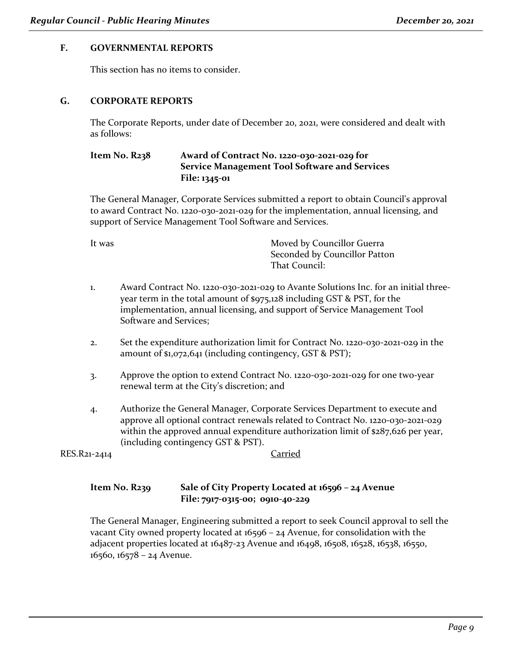# **F. GOVERNMENTAL REPORTS**

This section has no items to consider.

## **G. CORPORATE REPORTS**

The Corporate Reports, under date of December 20, 2021, were considered and dealt with as follows:

# **Item No. R238 Award of Contract No. 1220-030-2021-029 for Service Management Tool Software and Services File: 1345-01**

The General Manager, Corporate Services submitted a report to obtain Council's approval to award Contract No. 1220-030-2021-029 for the implementation, annual licensing, and support of Service Management Tool Software and Services.

It was **Moved by Councillor Guerra** Seconded by Councillor Patton That Council:

- 1. Award Contract No. 1220-030-2021-029 to Avante Solutions Inc. for an initial threeyear term in the total amount of \$975,128 including GST & PST, for the implementation, annual licensing, and support of Service Management Tool Software and Services;
- 2. Set the expenditure authorization limit for Contract No. 1220-030-2021-029 in the amount of \$1,072,641 (including contingency, GST & PST);
- 3. Approve the option to extend Contract No. 1220-030-2021-029 for one two-year renewal term at the City's discretion; and
- 4. Authorize the General Manager, Corporate Services Department to execute and approve all optional contract renewals related to Contract No. 1220-030-2021-029 within the approved annual expenditure authorization limit of \$287,626 per year, (including contingency GST & PST).

RES.R21-2414 Carried

# **Item No. R239 Sale of City Property Located at 16596 – 24 Avenue File: 7917-0315-00; 0910-40-229**

The General Manager, Engineering submitted a report to seek Council approval to sell the vacant City owned property located at 16596 – 24 Avenue, for consolidation with the adjacent properties located at 16487-23 Avenue and 16498, 16508, 16528, 16538, 16550, 16560, 16578 – 24 Avenue.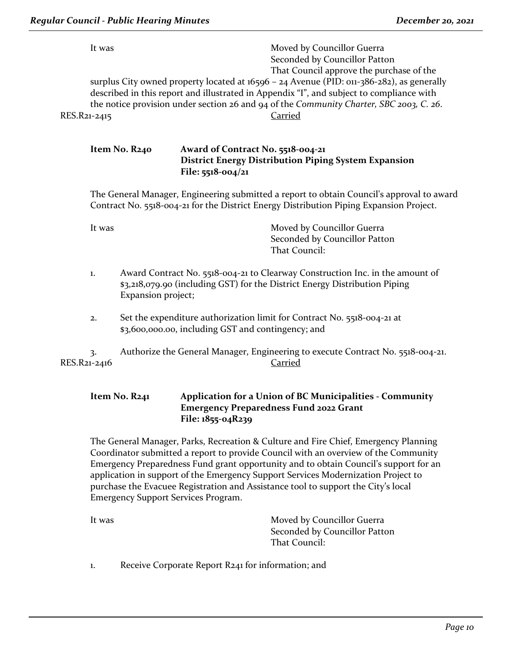| It was       | Moved by Councillor Guerra                                                                |
|--------------|-------------------------------------------------------------------------------------------|
|              | Seconded by Councillor Patton                                                             |
|              | That Council approve the purchase of the                                                  |
|              | surplus City owned property located at 16596 - 24 Avenue (PID: 011-386-282), as generally |
|              | described in this report and illustrated in Appendix "I", and subject to compliance with  |
|              | the notice provision under section 26 and 94 of the Community Charter, SBC 2003, C. 26.   |
| RES.R21-2415 | Carried                                                                                   |
|              |                                                                                           |
|              |                                                                                           |

#### **Item No. R240 Award of Contract No. 5518-004-21 District Energy Distribution Piping System Expansion File: 5518-004/21**

The General Manager, Engineering submitted a report to obtain Council's approval to award Contract No. 5518-004-21 for the District Energy Distribution Piping Expansion Project.

It was **Moved by Councillor Guerra** Seconded by Councillor Patton That Council:

- 1. Award Contract No. 5518-004-21 to Clearway Construction Inc. in the amount of \$3,218,079.90 (including GST) for the District Energy Distribution Piping Expansion project;
- 2. Set the expenditure authorization limit for Contract No. 5518-004-21 at \$3,600,000.00, including GST and contingency; and

3. Authorize the General Manager, Engineering to execute Contract No. 5518-004-21. RES.R21-2416 Carried

# **Item No. R241 Application for a Union of BC Municipalities - Community Emergency Preparedness Fund 2022 Grant File: 1855-04R239**

The General Manager, Parks, Recreation & Culture and Fire Chief, Emergency Planning Coordinator submitted a report to provide Council with an overview of the Community Emergency Preparedness Fund grant opportunity and to obtain Council's support for an application in support of the Emergency Support Services Modernization Project to purchase the Evacuee Registration and Assistance tool to support the City's local Emergency Support Services Program.

| It was | Moved by Councillor Guerra    |
|--------|-------------------------------|
|        | Seconded by Councillor Patton |
|        | That Council:                 |

1. Receive Corporate Report R241 for information; and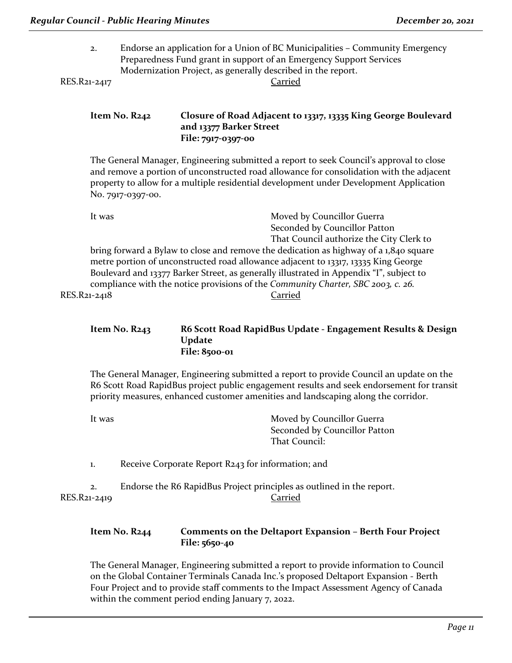2. Endorse an application for a Union of BC Municipalities – Community Emergency Preparedness Fund grant in support of an Emergency Support Services Modernization Project, as generally described in the report.

RES.R21-2417 Carried

# **Item No. R242 Closure of Road Adjacent to 13317, 13335 King George Boulevard and 13377 Barker Street File: 7917-0397-00**

The General Manager, Engineering submitted a report to seek Council's approval to close and remove a portion of unconstructed road allowance for consolidation with the adjacent property to allow for a multiple residential development under Development Application No. 7917-0397-00.

| It was                                                                                  | Moved by Councillor Guerra               |
|-----------------------------------------------------------------------------------------|------------------------------------------|
|                                                                                         | Seconded by Councillor Patton            |
|                                                                                         | That Council authorize the City Clerk to |
| bring forward a Bylaw to close and remove the dedication as highway of a 1,840 square   |                                          |
| metre portion of unconstructed road allowance adjacent to 13317, 13335 King George      |                                          |
| Boulevard and 13377 Barker Street, as generally illustrated in Appendix "I", subject to |                                          |
| compliance with the notice provisions of the Community Charter, SBC 2003, c. 26.        |                                          |
| RES.R21-2418                                                                            | Carried                                  |
|                                                                                         |                                          |

# **Item No. R243 R6 Scott Road RapidBus Update - Engagement Results & Design Update File: 8500-01**

The General Manager, Engineering submitted a report to provide Council an update on the R6 Scott Road RapidBus project public engagement results and seek endorsement for transit priority measures, enhanced customer amenities and landscaping along the corridor.

| It was             | Moved by Councillor Guerra<br>Seconded by Councillor Patton<br>That Council:     |
|--------------------|----------------------------------------------------------------------------------|
| 1.                 | Receive Corporate Report R243 for information; and                               |
| 2.<br>RES.R21-2419 | Endorse the R6 RapidBus Project principles as outlined in the report.<br>Carried |

# **Item No. R244 Comments on the Deltaport Expansion – Berth Four Project File: 5650-40**

The General Manager, Engineering submitted a report to provide information to Council on the Global Container Terminals Canada Inc.'s proposed Deltaport Expansion - Berth Four Project and to provide staff comments to the Impact Assessment Agency of Canada within the comment period ending January 7, 2022.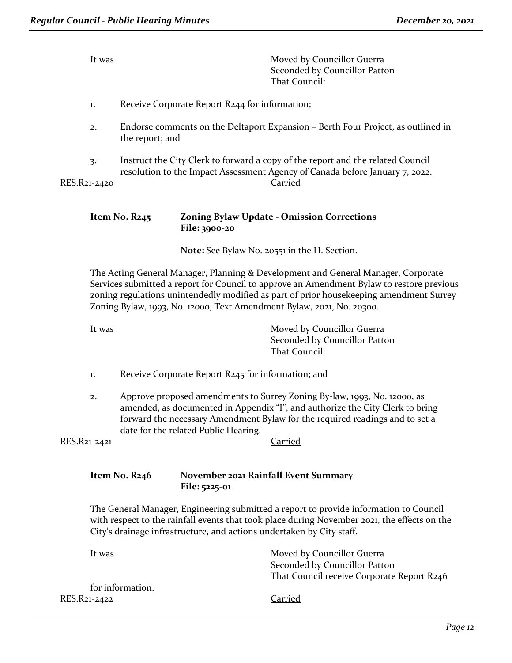| It was       |                                | Moved by Councillor Guerra<br>Seconded by Councillor Patton<br>That Council:                                                                                    |
|--------------|--------------------------------|-----------------------------------------------------------------------------------------------------------------------------------------------------------------|
| 1.           |                                | Receive Corporate Report R244 for information;                                                                                                                  |
| 2.           | the report; and                | Endorse comments on the Deltaport Expansion – Berth Four Project, as outlined in                                                                                |
| 3.           |                                | Instruct the City Clerk to forward a copy of the report and the related Council<br>resolution to the Impact Assessment Agency of Canada before January 7, 2022. |
| RES.R21-2420 |                                | Carried                                                                                                                                                         |
|              | Item No. R245<br>File: 3900-20 | <b>Zoning Bylaw Update - Omission Corrections</b>                                                                                                               |

**Note:** See Bylaw No. 20551 in the H. Section.

The Acting General Manager, Planning & Development and General Manager, Corporate Services submitted a report for Council to approve an Amendment Bylaw to restore previous zoning regulations unintendedly modified as part of prior housekeeping amendment Surrey Zoning Bylaw, 1993, No. 12000, Text Amendment Bylaw, 2021, No. 20300.

It was Moved by Councillor Guerra Seconded by Councillor Patton That Council:

- 1. Receive Corporate Report R245 for information; and
- 2. Approve proposed amendments to Surrey Zoning By-law, 1993, No. 12000, as amended, as documented in Appendix "I", and authorize the City Clerk to bring forward the necessary Amendment Bylaw for the required readings and to set a date for the related Public Hearing.

RES.R21-2421 Carried

# **Item No. R246 November 2021 Rainfall Event Summary File: 5225-01**

The General Manager, Engineering submitted a report to provide information to Council with respect to the rainfall events that took place during November 2021, the effects on the City's drainage infrastructure, and actions undertaken by City staff.

| It was           | Moved by Councillor Guerra                 |
|------------------|--------------------------------------------|
|                  | Seconded by Councillor Patton              |
|                  | That Council receive Corporate Report R246 |
| for information. |                                            |
| RES.R21-2422     | Carried                                    |
|                  |                                            |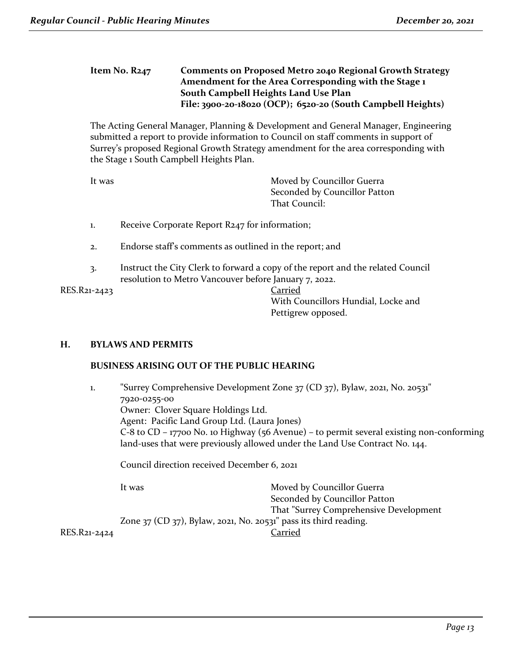## **Item No. R247 Comments on Proposed Metro 2040 Regional Growth Strategy Amendment for the Area Corresponding with the Stage 1 South Campbell Heights Land Use Plan File: 3900-20-18020 (OCP); 6520-20 (South Campbell Heights)**

The Acting General Manager, Planning & Development and General Manager, Engineering submitted a report to provide information to Council on staff comments in support of Surrey's proposed Regional Growth Strategy amendment for the area corresponding with the Stage 1 South Campbell Heights Plan.

It was **Moved by Councillor Guerra** Seconded by Councillor Patton That Council:

- 1. Receive Corporate Report R247 for information;
- 2. Endorse staff's comments as outlined in the report; and
- 3. Instruct the City Clerk to forward a copy of the report and the related Council resolution to Metro Vancouver before January 7, 2022.

RES.R21-2423 Carried

With Councillors Hundial, Locke and Pettigrew opposed.

#### **H. BYLAWS AND PERMITS**

#### **BUSINESS ARISING OUT OF THE PUBLIC HEARING**

1. "Surrey Comprehensive Development Zone 37 (CD 37), Bylaw, 2021, No. 20531" 7920-0255-00 Owner: Clover Square Holdings Ltd. Agent: Pacific Land Group Ltd. (Laura Jones) C-8 to CD – 17700 No. 10 Highway (56 Avenue) – to permit several existing non-conforming land-uses that were previously allowed under the Land Use Contract No. 144.

Council direction received December 6, 2021

It was Moved by Councillor Guerra Seconded by Councillor Patton That "Surrey Comprehensive Development Zone 37 (CD 37), Bylaw, 2021, No. 20531" pass its third reading. RES.R21-2424 Carried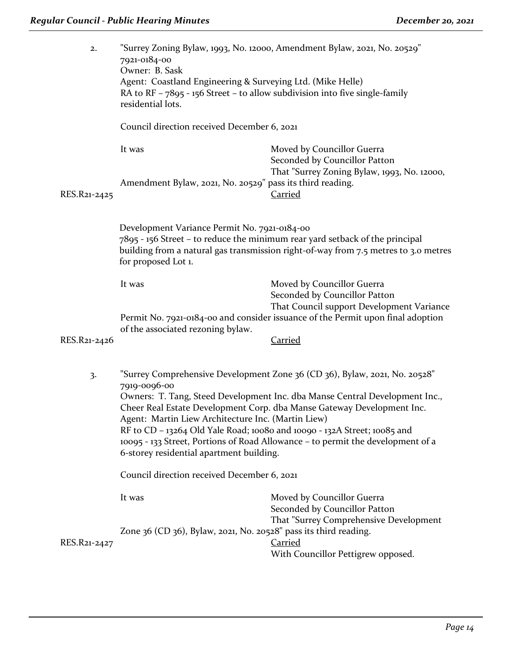| 2.             | 7921-0184-00<br>Owner: B. Sask                                                                                                                                                                                                             | "Surrey Zoning Bylaw, 1993, No. 12000, Amendment Bylaw, 2021, No. 20529"                                   |  |
|----------------|--------------------------------------------------------------------------------------------------------------------------------------------------------------------------------------------------------------------------------------------|------------------------------------------------------------------------------------------------------------|--|
|                | Agent: Coastland Engineering & Surveying Ltd. (Mike Helle)<br>RA to $RF - 7895 - 156$ Street – to allow subdivision into five single-family<br>residential lots.                                                                           |                                                                                                            |  |
|                | Council direction received December 6, 2021                                                                                                                                                                                                |                                                                                                            |  |
|                | It was                                                                                                                                                                                                                                     | Moved by Councillor Guerra<br>Seconded by Councillor Patton<br>That "Surrey Zoning Bylaw, 1993, No. 12000, |  |
| RES.R21-2425   | Amendment Bylaw, 2021, No. 20529" pass its third reading.                                                                                                                                                                                  | <b>Carried</b>                                                                                             |  |
|                | Development Variance Permit No. 7921-0184-00<br>7895 - 156 Street - to reduce the minimum rear yard setback of the principal<br>building from a natural gas transmission right-of-way from 7.5 metres to 3.0 metres<br>for proposed Lot 1. |                                                                                                            |  |
|                | It was                                                                                                                                                                                                                                     | Moved by Councillor Guerra<br>Seconded by Councillor Patton<br>That Council support Development Variance   |  |
| RES.R21-2426   | of the associated rezoning bylaw.                                                                                                                                                                                                          | Permit No. 7921-0184-00 and consider issuance of the Permit upon final adoption<br><b>Carried</b>          |  |
|                |                                                                                                                                                                                                                                            |                                                                                                            |  |
| $\overline{3}$ | 7919-0096-00                                                                                                                                                                                                                               | "Surrey Comprehensive Development Zone 36 (CD 36), Bylaw, 2021, No. 20528"                                 |  |
|                | Owners: T. Tang, Steed Development Inc. dba Manse Central Development Inc.,<br>Cheer Real Estate Development Corp. dba Manse Gateway Development Inc.<br>Agent: Martin Liew Architecture Inc. (Martin Liew)                                |                                                                                                            |  |
|                | RF to CD - 13264 Old Yale Road; 10080 and 10090 - 132A Street; 10085 and<br>10095 - 133 Street, Portions of Road Allowance - to permit the development of a<br>6-storey residential apartment building.                                    |                                                                                                            |  |
|                | Council direction received December 6, 2021                                                                                                                                                                                                |                                                                                                            |  |
|                | It was                                                                                                                                                                                                                                     | Moved by Councillor Guerra<br>Seconded by Councillor Patton<br>That "Surrey Comprehensive Development      |  |
| RES.R21-2427   | Zone 36 (CD 36), Bylaw, 2021, No. 20528" pass its third reading.                                                                                                                                                                           | <u>Carried</u>                                                                                             |  |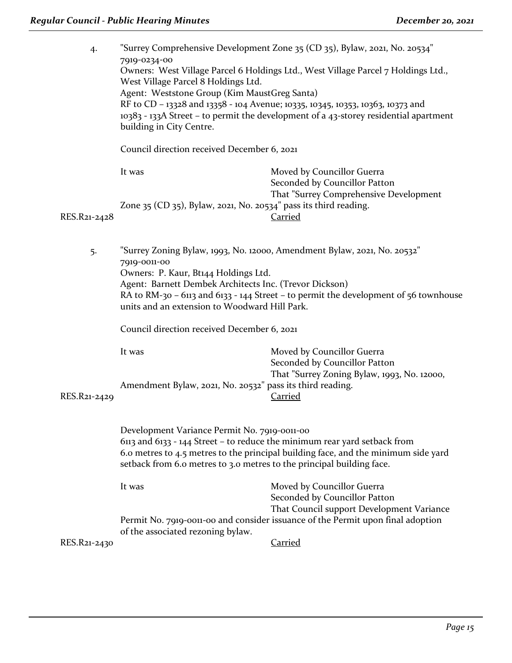| 4.           | 7919-0234-00<br>West Village Parcel 8 Holdings Ltd.<br>Agent: Weststone Group (Kim MaustGreg Santa)<br>building in City Centre.                                                                    | "Surrey Comprehensive Development Zone 35 (CD 35), Bylaw, 2021, No. 20534"<br>Owners: West Village Parcel 6 Holdings Ltd., West Village Parcel 7 Holdings Ltd.,<br>RF to CD - 13328 and 13358 - 104 Avenue; 10335, 10345, 10353, 10363, 10373 and<br>10383 - 133A Street - to permit the development of a 43-storey residential apartment |  |
|--------------|----------------------------------------------------------------------------------------------------------------------------------------------------------------------------------------------------|-------------------------------------------------------------------------------------------------------------------------------------------------------------------------------------------------------------------------------------------------------------------------------------------------------------------------------------------|--|
|              | Council direction received December 6, 2021                                                                                                                                                        |                                                                                                                                                                                                                                                                                                                                           |  |
|              | It was                                                                                                                                                                                             | Moved by Councillor Guerra<br>Seconded by Councillor Patton                                                                                                                                                                                                                                                                               |  |
| RES.R21-2428 | Zone 35 (CD 35), Bylaw, 2021, No. 20534" pass its third reading.                                                                                                                                   | That "Surrey Comprehensive Development<br><b>Carried</b>                                                                                                                                                                                                                                                                                  |  |
| 5.           | 7919-0011-00<br>Owners: P. Kaur, Bt144 Holdings Ltd.<br>Agent: Barnett Dembek Architects Inc. (Trevor Dickson)<br>units and an extension to Woodward Hill Park.                                    | "Surrey Zoning Bylaw, 1993, No. 12000, Amendment Bylaw, 2021, No. 20532"<br>RA to RM-30 - 6113 and 6133 - 144 Street - to permit the development of 56 townhouse                                                                                                                                                                          |  |
|              | Council direction received December 6, 2021                                                                                                                                                        |                                                                                                                                                                                                                                                                                                                                           |  |
| RES.R21-2429 | It was<br>Amendment Bylaw, 2021, No. 20532" pass its third reading.                                                                                                                                | Moved by Councillor Guerra<br>Seconded by Councillor Patton<br>That "Surrey Zoning Bylaw, 1993, No. 12000,<br>Carried                                                                                                                                                                                                                     |  |
|              | Development Variance Permit No. 7919-0011-00<br>6113 and 6133 - 144 Street - to reduce the minimum rear yard setback from<br>setback from 6.0 metres to 3.0 metres to the principal building face. | 6.0 metres to 4.5 metres to the principal building face, and the minimum side yard                                                                                                                                                                                                                                                        |  |
|              | It was                                                                                                                                                                                             | Moved by Councillor Guerra<br>Seconded by Councillor Patton<br>That Council support Development Variance                                                                                                                                                                                                                                  |  |
| RES.R21-2430 | of the associated rezoning bylaw.                                                                                                                                                                  | Permit No. 7919-0011-00 and consider issuance of the Permit upon final adoption<br><b>Carried</b>                                                                                                                                                                                                                                         |  |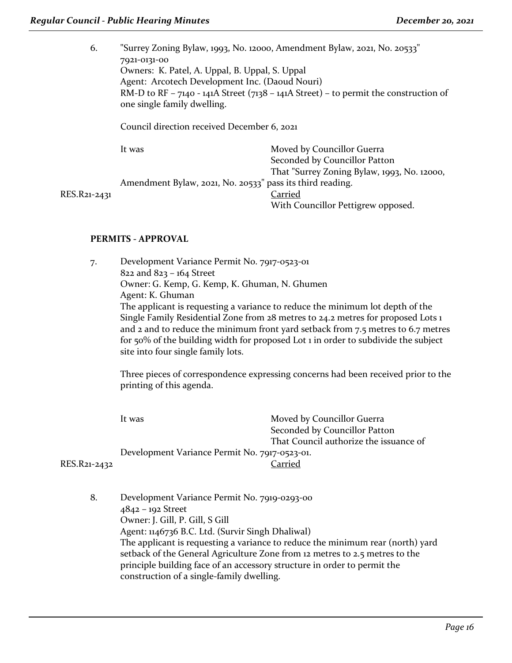6. "Surrey Zoning Bylaw, 1993, No. 12000, Amendment Bylaw, 2021, No. 20533" 7921-0131-00 Owners: K. Patel, A. Uppal, B. Uppal, S. Uppal Agent: Arcotech Development Inc. (Daoud Nouri) RM-D to RF – 7140 - 141A Street (7138 – 141A Street) – to permit the construction of one single family dwelling. Council direction received December 6, 2021

| lt was                                                    | Moved by Councillor Guerra                  |
|-----------------------------------------------------------|---------------------------------------------|
|                                                           | Seconded by Councillor Patton               |
|                                                           | That "Surrey Zoning Bylaw, 1993, No. 12000, |
| Amendment Bylaw, 2021, No. 20533" pass its third reading. |                                             |
|                                                           | Carried                                     |
|                                                           | With Councillor Pettigrew opposed.          |

RES.R21-2431

# **PERMITS - APPROVAL**

7. Development Variance Permit No. 7917-0523-01 822 and 823 – 164 Street Owner: G. Kemp, G. Kemp, K. Ghuman, N. Ghumen Agent: K. Ghuman The applicant is requesting a variance to reduce the minimum lot depth of the Single Family Residential Zone from 28 metres to 24.2 metres for proposed Lots 1 and 2 and to reduce the minimum front yard setback from 7.5 metres to 6.7 metres for 50% of the building width for proposed Lot 1 in order to subdivide the subject site into four single family lots.

Three pieces of correspondence expressing concerns had been received prior to the printing of this agenda.

| It was                                        | Moved by Councillor Guerra             |
|-----------------------------------------------|----------------------------------------|
|                                               | Seconded by Councillor Patton          |
|                                               | That Council authorize the issuance of |
| Development Variance Permit No. 7917-0523-01. |                                        |
|                                               | Carried                                |
|                                               |                                        |

RES.R21-2432

8. Development Variance Permit No. 7919-0293-00 4842 – 192 Street Owner: J. Gill, P. Gill, S Gill Agent: 1146736 B.C. Ltd. (Survir Singh Dhaliwal) The applicant is requesting a variance to reduce the minimum rear (north) yard setback of the General Agriculture Zone from 12 metres to 2.5 metres to the principle building face of an accessory structure in order to permit the construction of a single-family dwelling.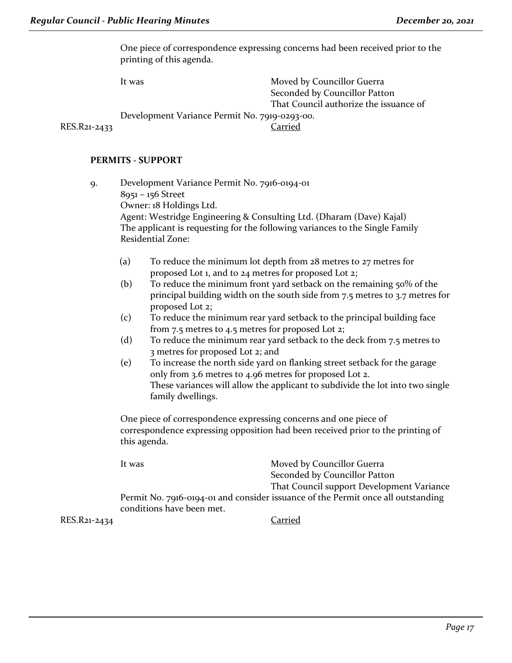One piece of correspondence expressing concerns had been received prior to the printing of this agenda.

It was Moved by Councillor Guerra Seconded by Councillor Patton That Council authorize the issuance of Development Variance Permit No. 7919-0293-00. RES.R21-2433 Carried

#### **PERMITS - SUPPORT**

- 9. Development Variance Permit No. 7916-0194-01 8951 – 156 Street Owner: 18 Holdings Ltd. Agent: Westridge Engineering & Consulting Ltd. (Dharam (Dave) Kajal) The applicant is requesting for the following variances to the Single Family Residential Zone:
	- (a) To reduce the minimum lot depth from 28 metres to 27 metres for proposed Lot 1, and to 24 metres for proposed Lot 2;
	- (b) To reduce the minimum front yard setback on the remaining 50% of the principal building width on the south side from 7.5 metres to 3.7 metres for proposed Lot 2;
	- (c) To reduce the minimum rear yard setback to the principal building face from 7.5 metres to 4.5 metres for proposed Lot 2;
	- (d) To reduce the minimum rear yard setback to the deck from 7.5 metres to 3 metres for proposed Lot 2; and
	- (e) To increase the north side yard on flanking street setback for the garage only from 3.6 metres to 4.96 metres for proposed Lot 2. These variances will allow the applicant to subdivide the lot into two single family dwellings.

One piece of correspondence expressing concerns and one piece of correspondence expressing opposition had been received prior to the printing of this agenda.

It was **Moved by Councillor Guerra** Seconded by Councillor Patton That Council support Development Variance Permit No. 7916-0194-01 and consider issuance of the Permit once all outstanding conditions have been met.

RES.R21-2434 Carried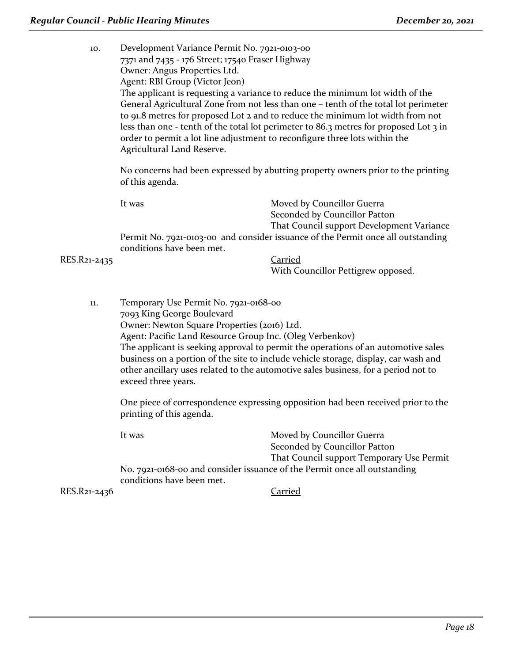10. Development Variance Permit No. 7921-0103-00 7371 and 7435 - 176 Street; 17540 Fraser Highway Owner: Angus Properties Ltd. Agent: RBI Group (Victor Jeon) The applicant is requesting a variance to reduce the minimum lot width of the General Agricultural Zone from not less than one – tenth of the total lot perimeter to 91.8 metres for proposed Lot 2 and to reduce the minimum lot width from not less than one - tenth of the total lot perimeter to 86.3 metres for proposed Lot 3 in order to permit a lot line adjustment to reconfigure three lots within the Agricultural Land Reserve. No concerns had been expressed by abutting property owners prior to the printing of this agenda. It was **Moved by Councillor Guerra** Seconded by Councillor Patton That Council support Development Variance Permit No. 7921-0103-00 and consider issuance of the Permit once all outstanding conditions have been met. RES.R21-2435 Carried With Councillor Pettigrew opposed. 11. Temporary Use Permit No. 7921-0168-00 7093 King George Boulevard Owner: Newton Square Properties (2016) Ltd. Agent: Pacific Land Resource Group Inc. (Oleg Verbenkov) The applicant is seeking approval to permit the operations of an automotive sales business on a portion of the site to include vehicle storage, display, car wash and other ancillary uses related to the automotive sales business, for a period not to exceed three years. One piece of correspondence expressing opposition had been received prior to the printing of this agenda. It was Moved by Councillor Guerra Seconded by Councillor Patton That Council support Temporary Use Permit

RES.R21-2436 Carried

conditions have been met.

No. 7921-0168-00 and consider issuance of the Permit once all outstanding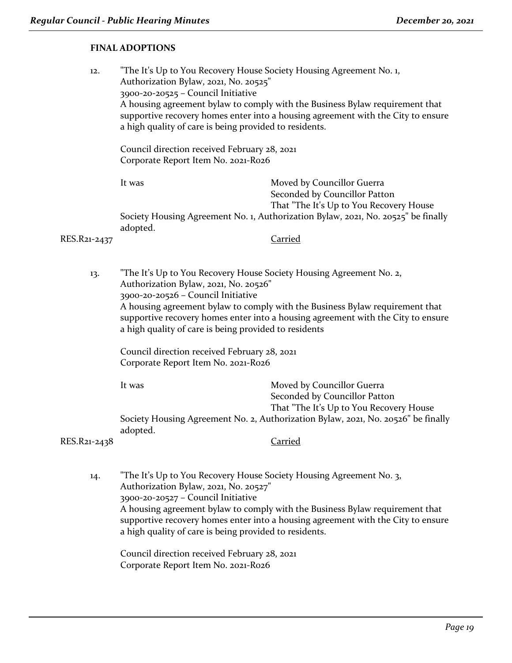# **FINAL ADOPTIONS**

| 12.          | Authorization Bylaw, 2021, No. 20525"<br>3900-20-20525 - Council Initiative<br>Corporate Report Item No. 2021-Ro26                                 | "The It's Up to You Recovery House Society Housing Agreement No. 1,<br>A housing agreement bylaw to comply with the Business Bylaw requirement that<br>supportive recovery homes enter into a housing agreement with the City to ensure<br>a high quality of care is being provided to residents.<br>Council direction received February 28, 2021 |  |
|--------------|----------------------------------------------------------------------------------------------------------------------------------------------------|---------------------------------------------------------------------------------------------------------------------------------------------------------------------------------------------------------------------------------------------------------------------------------------------------------------------------------------------------|--|
|              | It was                                                                                                                                             | Moved by Councillor Guerra<br>Seconded by Councillor Patton<br>That "The It's Up to You Recovery House                                                                                                                                                                                                                                            |  |
|              |                                                                                                                                                    | Society Housing Agreement No. 1, Authorization Bylaw, 2021, No. 20525" be finally                                                                                                                                                                                                                                                                 |  |
| RES.R21-2437 | adopted.                                                                                                                                           | <b>Carried</b>                                                                                                                                                                                                                                                                                                                                    |  |
| 13.          | "The It's Up to You Recovery House Society Housing Agreement No. 2,<br>Authorization Bylaw, 2021, No. 20526"<br>3900-20-20526 - Council Initiative | A housing agreement bylaw to comply with the Business Bylaw requirement that                                                                                                                                                                                                                                                                      |  |
|              | supportive recovery homes enter into a housing agreement with the City to ensure<br>a high quality of care is being provided to residents          |                                                                                                                                                                                                                                                                                                                                                   |  |
|              | Council direction received February 28, 2021<br>Corporate Report Item No. 2021-Ro26                                                                |                                                                                                                                                                                                                                                                                                                                                   |  |
|              | It was                                                                                                                                             | Moved by Councillor Guerra<br>Seconded by Councillor Patton<br>That "The It's Up to You Recovery House                                                                                                                                                                                                                                            |  |
|              | adopted.                                                                                                                                           | Society Housing Agreement No. 2, Authorization Bylaw, 2021, No. 20526" be finally                                                                                                                                                                                                                                                                 |  |

RES.R21-2438 Carried

14. "The It's Up to You Recovery House Society Housing Agreement No. 3, Authorization Bylaw, 2021, No. 20527" 3900-20-20527 – Council Initiative A housing agreement bylaw to comply with the Business Bylaw requirement that supportive recovery homes enter into a housing agreement with the City to ensure a high quality of care is being provided to residents.

Council direction received February 28, 2021 Corporate Report Item No. 2021-R026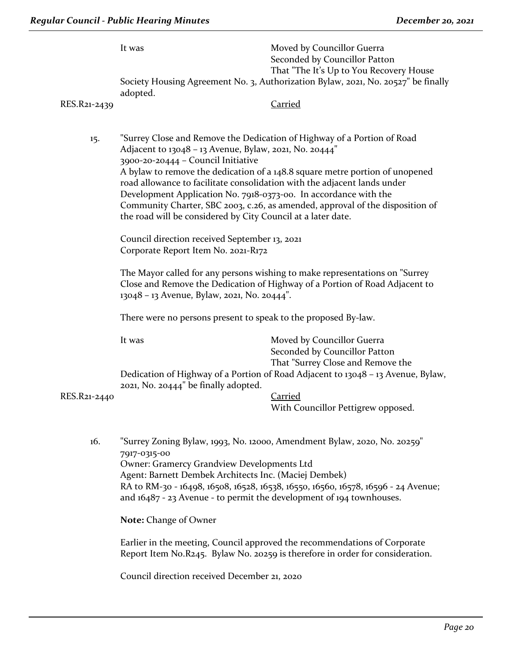| RES.R21-2439 | It was<br>adopted.                                                                                                                                                                                                                                                                                           | Moved by Councillor Guerra<br>Seconded by Councillor Patton<br>That "The It's Up to You Recovery House<br>Society Housing Agreement No. 3, Authorization Bylaw, 2021, No. 20527" be finally<br>Carried                                   |
|--------------|--------------------------------------------------------------------------------------------------------------------------------------------------------------------------------------------------------------------------------------------------------------------------------------------------------------|------------------------------------------------------------------------------------------------------------------------------------------------------------------------------------------------------------------------------------------|
|              |                                                                                                                                                                                                                                                                                                              |                                                                                                                                                                                                                                          |
| 15.          | Adjacent to 13048 - 13 Avenue, Bylaw, 2021, No. 20444"<br>3900-20-20444 - Council Initiative<br>road allowance to facilitate consolidation with the adjacent lands under<br>Development Application No. 7918-0373-00. In accordance with the<br>the road will be considered by City Council at a later date. | "Surrey Close and Remove the Dedication of Highway of a Portion of Road<br>A bylaw to remove the dedication of a 148.8 square metre portion of unopened<br>Community Charter, SBC 2003, c.26, as amended, approval of the disposition of |
|              | Council direction received September 13, 2021                                                                                                                                                                                                                                                                |                                                                                                                                                                                                                                          |
|              | Corporate Report Item No. 2021-R172                                                                                                                                                                                                                                                                          |                                                                                                                                                                                                                                          |
|              | 13048 - 13 Avenue, Bylaw, 2021, No. 20444".                                                                                                                                                                                                                                                                  | The Mayor called for any persons wishing to make representations on "Surrey"<br>Close and Remove the Dedication of Highway of a Portion of Road Adjacent to                                                                              |
|              | There were no persons present to speak to the proposed By-law.                                                                                                                                                                                                                                               |                                                                                                                                                                                                                                          |
|              | It was<br>2021, No. 20444" be finally adopted.                                                                                                                                                                                                                                                               | Moved by Councillor Guerra<br>Seconded by Councillor Patton<br>That "Surrey Close and Remove the<br>Dedication of Highway of a Portion of Road Adjacent to 13048 - 13 Avenue, Bylaw,                                                     |
| RES.R21-2440 |                                                                                                                                                                                                                                                                                                              | <b>Carried</b>                                                                                                                                                                                                                           |
|              |                                                                                                                                                                                                                                                                                                              | With Councillor Pettigrew opposed.                                                                                                                                                                                                       |
| 16.          | 7917-0315-00<br>Owner: Gramercy Grandview Developments Ltd<br>Agent: Barnett Dembek Architects Inc. (Maciej Dembek)<br>and $16487 - 23$ Avenue - to permit the development of 194 townhouses.                                                                                                                | "Surrey Zoning Bylaw, 1993, No. 12000, Amendment Bylaw, 2020, No. 20259"<br>RA to RM-30 - 16498, 16508, 16528, 16538, 16550, 16560, 16578, 16596 - 24 Avenue;                                                                            |
|              | Note: Change of Owner                                                                                                                                                                                                                                                                                        |                                                                                                                                                                                                                                          |

Earlier in the meeting, Council approved the recommendations of Corporate Report Item No.R245. Bylaw No. 20259 is therefore in order for consideration.

Council direction received December 21, 2020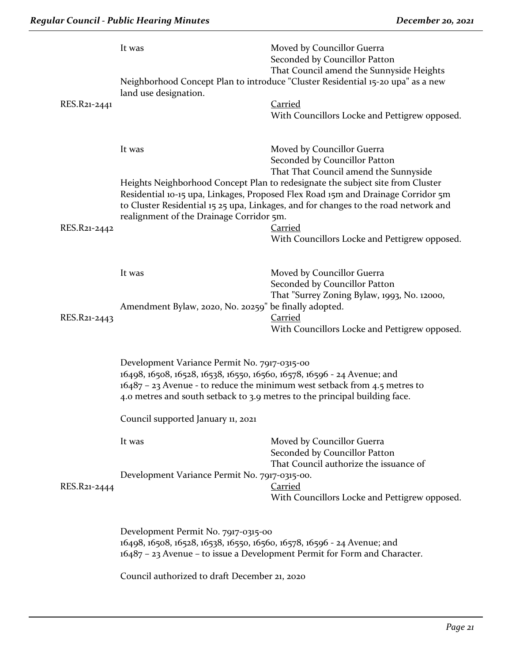|              | It was                                                                                                                                                                                                                                                                                                                  | Moved by Councillor Guerra<br>Seconded by Councillor Patton<br>That Council amend the Sunnyside Heights    |  |
|--------------|-------------------------------------------------------------------------------------------------------------------------------------------------------------------------------------------------------------------------------------------------------------------------------------------------------------------------|------------------------------------------------------------------------------------------------------------|--|
|              | land use designation.                                                                                                                                                                                                                                                                                                   | Neighborhood Concept Plan to introduce "Cluster Residential 15-20 upa" as a new                            |  |
| RES.R21-2441 |                                                                                                                                                                                                                                                                                                                         | <b>Carried</b><br>With Councillors Locke and Pettigrew opposed.                                            |  |
|              | It was                                                                                                                                                                                                                                                                                                                  | Moved by Councillor Guerra<br>Seconded by Councillor Patton<br>That That Council amend the Sunnyside       |  |
| RES.R21-2442 | Heights Neighborhood Concept Plan to redesignate the subject site from Cluster<br>Residential 10-15 upa, Linkages, Proposed Flex Road 15m and Drainage Corridor 5m<br>to Cluster Residential 15 25 upa, Linkages, and for changes to the road network and<br>realignment of the Drainage Corridor 5m.<br><b>Carried</b> |                                                                                                            |  |
|              |                                                                                                                                                                                                                                                                                                                         | With Councillors Locke and Pettigrew opposed.                                                              |  |
|              | It was                                                                                                                                                                                                                                                                                                                  | Moved by Councillor Guerra<br>Seconded by Councillor Patton<br>That "Surrey Zoning Bylaw, 1993, No. 12000, |  |
| RES.R21-2443 | Amendment Bylaw, 2020, No. 20259" be finally adopted.                                                                                                                                                                                                                                                                   | Carried<br>With Councillors Locke and Pettigrew opposed.                                                   |  |
|              | Development Variance Permit No. 7917-0315-00<br>16498, 16508, 16528, 16538, 16550, 16560, 16578, 16596 - 24 Avenue; and<br>$16487 - 23$ Avenue - to reduce the minimum west setback from 4.5 metres to<br>4.0 metres and south setback to 3.9 metres to the principal building face.                                    |                                                                                                            |  |
|              | Council supported January 11, 2021                                                                                                                                                                                                                                                                                      |                                                                                                            |  |
|              | It was                                                                                                                                                                                                                                                                                                                  | Moved by Councillor Guerra<br>Seconded by Councillor Patton<br>That Council authorize the issuance of      |  |
| RES.R21-2444 | Development Variance Permit No. 7917-0315-00.                                                                                                                                                                                                                                                                           | Carried<br>With Councillors Locke and Pettigrew opposed.                                                   |  |
|              | Development Permit No. 7917-0315-00<br>16498, 16508, 16528, 16538, 16550, 16560, 16578, 16596 - 24 Avenue; and<br>16487 - 23 Avenue - to issue a Development Permit for Form and Character.                                                                                                                             |                                                                                                            |  |

Council authorized to draft December 21, 2020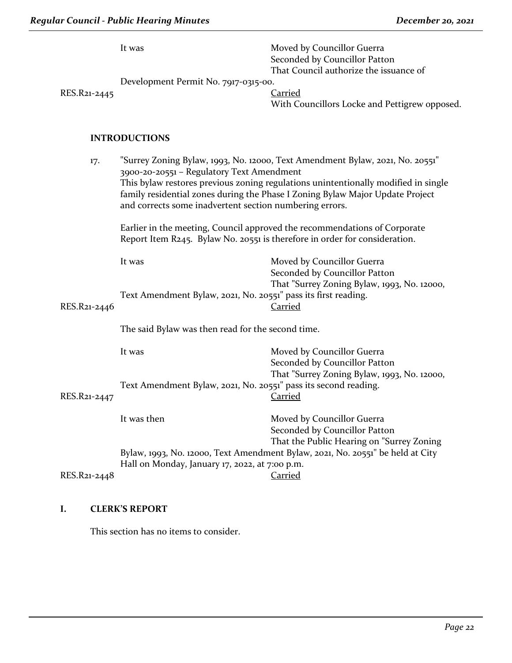| RES.R21-2445 | It was<br>Development Permit No. 7917-0315-00.                                                                                                                                                                                                                                                                                                                                                                                                                                                                          | Moved by Councillor Guerra<br>Seconded by Councillor Patton<br>That Council authorize the issuance of<br><b>Carried</b>      |  |
|--------------|-------------------------------------------------------------------------------------------------------------------------------------------------------------------------------------------------------------------------------------------------------------------------------------------------------------------------------------------------------------------------------------------------------------------------------------------------------------------------------------------------------------------------|------------------------------------------------------------------------------------------------------------------------------|--|
|              |                                                                                                                                                                                                                                                                                                                                                                                                                                                                                                                         | With Councillors Locke and Pettigrew opposed.                                                                                |  |
|              | <b>INTRODUCTIONS</b>                                                                                                                                                                                                                                                                                                                                                                                                                                                                                                    |                                                                                                                              |  |
| 17.          | "Surrey Zoning Bylaw, 1993, No. 12000, Text Amendment Bylaw, 2021, No. 20551"<br>3900-20-20551 - Regulatory Text Amendment<br>This bylaw restores previous zoning regulations unintentionally modified in single<br>family residential zones during the Phase I Zoning Bylaw Major Update Project<br>and corrects some inadvertent section numbering errors.<br>Earlier in the meeting, Council approved the recommendations of Corporate<br>Report Item R245. Bylaw No. 20551 is therefore in order for consideration. |                                                                                                                              |  |
|              |                                                                                                                                                                                                                                                                                                                                                                                                                                                                                                                         |                                                                                                                              |  |
| RES.R21-2446 | It was<br>Text Amendment Bylaw, 2021, No. 20551" pass its first reading.                                                                                                                                                                                                                                                                                                                                                                                                                                                | Moved by Councillor Guerra<br>Seconded by Councillor Patton<br>That "Surrey Zoning Bylaw, 1993, No. 12000,<br><b>Carried</b> |  |
|              | The said Bylaw was then read for the second time.                                                                                                                                                                                                                                                                                                                                                                                                                                                                       |                                                                                                                              |  |
| RES.R21-2447 | It was                                                                                                                                                                                                                                                                                                                                                                                                                                                                                                                  | Moved by Councillor Guerra<br>Seconded by Councillor Patton                                                                  |  |
|              | Text Amendment Bylaw, 2021, No. 20551" pass its second reading.                                                                                                                                                                                                                                                                                                                                                                                                                                                         | That "Surrey Zoning Bylaw, 1993, No. 12000,<br>Carried                                                                       |  |
|              | It was then                                                                                                                                                                                                                                                                                                                                                                                                                                                                                                             | Moved by Councillor Guerra<br>Seconded by Councillor Patton<br>That the Public Hearing on "Surrey Zoning                     |  |
| RES.R21-2448 | Bylaw, 1993, No. 12000, Text Amendment Bylaw, 2021, No. 20551" be held at City<br>Hall on Monday, January 17, 2022, at 7:00 p.m.<br><b>Carried</b>                                                                                                                                                                                                                                                                                                                                                                      |                                                                                                                              |  |

# **I. CLERK'S REPORT**

This section has no items to consider.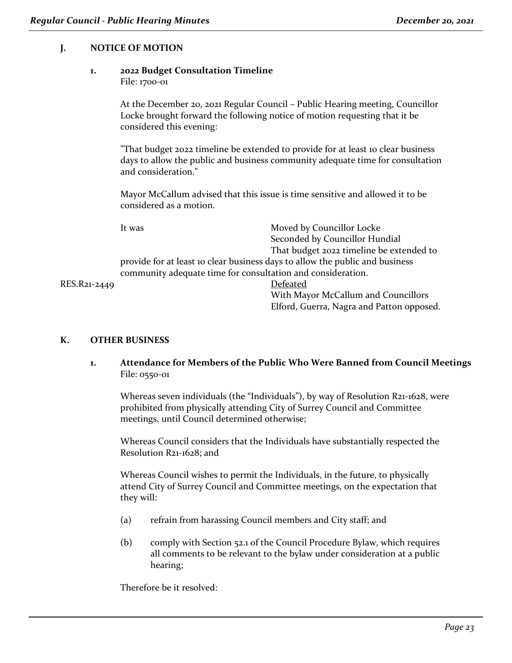# **J. NOTICE OF MOTION**

# **1. 2022 Budget Consultation Timeline**

File: 1700-01

At the December 20, 2021 Regular Council – Public Hearing meeting, Councillor Locke brought forward the following notice of motion requesting that it be considered this evening:

"That budget 2022 timeline be extended to provide for at least 10 clear business days to allow the public and business community adequate time for consultation and consideration."

Mayor McCallum advised that this issue is time sensitive and allowed it to be considered as a motion.

| It was                                                                       | Moved by Councillor Locke                |  |
|------------------------------------------------------------------------------|------------------------------------------|--|
|                                                                              | Seconded by Councillor Hundial           |  |
|                                                                              | That budget 2022 timeline be extended to |  |
| provide for at least 10 clear business days to allow the public and business |                                          |  |
| community adequate time for consultation and consideration.                  |                                          |  |
|                                                                              | Defeated                                 |  |
|                                                                              | With Mayor McCallum and Councillors      |  |

Elford, Guerra, Nagra and Patton opposed.

RES.R21-2449

# **K. OTHER BUSINESS**

**1. Attendance for Members of the Public Who Were Banned from Council Meetings** File: 0550-01

Whereas seven individuals (the "Individuals"), by way of Resolution R21-1628, were prohibited from physically attending City of Surrey Council and Committee meetings, until Council determined otherwise;

Whereas Council considers that the Individuals have substantially respected the Resolution R21-1628; and

Whereas Council wishes to permit the Individuals, in the future, to physically attend City of Surrey Council and Committee meetings, on the expectation that they will:

- (a) refrain from harassing Council members and City staff; and
- (b) comply with Section 52.1 of the Council Procedure Bylaw, which requires all comments to be relevant to the bylaw under consideration at a public hearing;

Therefore be it resolved: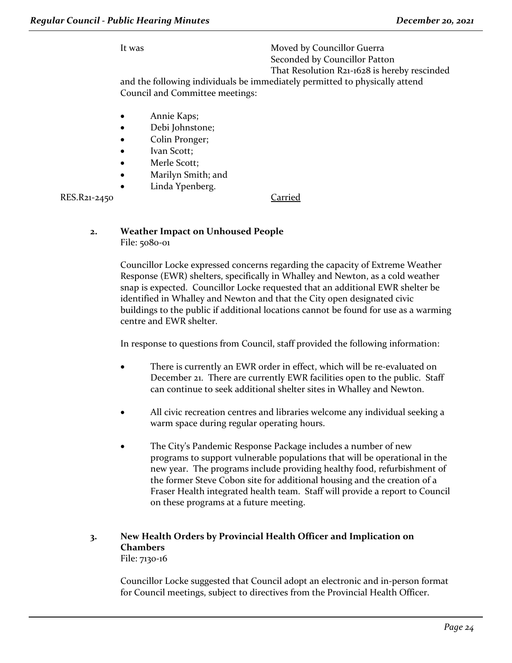It was Moved by Councillor Guerra Seconded by Councillor Patton That Resolution R21-1628 is hereby rescinded

and the following individuals be immediately permitted to physically attend Council and Committee meetings:

- Annie Kaps;
- Debi Johnstone;
- Colin Pronger;
- Ivan Scott;
- Merle Scott:
- Marilyn Smith; and
- Linda Ypenberg.

RES.R21-2450 Carried

#### **2. Weather Impact on Unhoused People** File: 5080-01

Councillor Locke expressed concerns regarding the capacity of Extreme Weather Response (EWR) shelters, specifically in Whalley and Newton, as a cold weather snap is expected. Councillor Locke requested that an additional EWR shelter be identified in Whalley and Newton and that the City open designated civic buildings to the public if additional locations cannot be found for use as a warming centre and EWR shelter.

In response to questions from Council, staff provided the following information:

- There is currently an EWR order in effect, which will be re-evaluated on December 21. There are currently EWR facilities open to the public. Staff can continue to seek additional shelter sites in Whalley and Newton.
- All civic recreation centres and libraries welcome any individual seeking a warm space during regular operating hours.
- The City's Pandemic Response Package includes a number of new programs to support vulnerable populations that will be operational in the new year. The programs include providing healthy food, refurbishment of the former Steve Cobon site for additional housing and the creation of a Fraser Health integrated health team. Staff will provide a report to Council on these programs at a future meeting.

#### **3. New Health Orders by Provincial Health Officer and Implication on Chambers** File: 7130-16

Councillor Locke suggested that Council adopt an electronic and in-person format for Council meetings, subject to directives from the Provincial Health Officer.